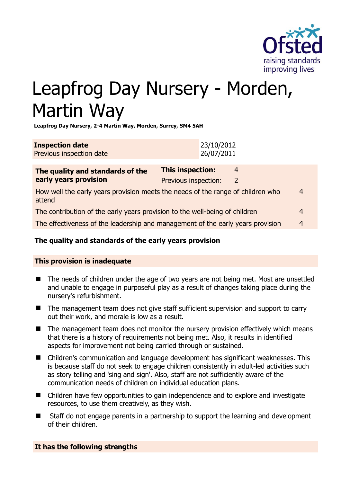

# Leapfrog Day Nursery - Morden, Martin Way

**Leapfrog Day Nursery, 2-4 Martin Way, Morden, Surrey, SM4 5AH** 

| <b>Inspection date</b>   | 23/10/2012  |
|--------------------------|-------------|
| Previous inspection date | 126/07/2011 |

| The quality and standards of the<br>early years provision                                 | <b>This inspection:</b> | 4 |   |
|-------------------------------------------------------------------------------------------|-------------------------|---|---|
|                                                                                           | Previous inspection:    | 2 |   |
| How well the early years provision meets the needs of the range of children who<br>attend |                         |   | 4 |
| The contribution of the early years provision to the well-being of children               |                         |   | 4 |
| The effectiveness of the leadership and management of the early years provision           |                         |   | 4 |
|                                                                                           |                         |   |   |

# **The quality and standards of the early years provision**

# **This provision is inadequate**

- The needs of children under the age of two years are not being met. Most are unsettled and unable to engage in purposeful play as a result of changes taking place during the nursery's refurbishment.
- The management team does not give staff sufficient supervision and support to carry out their work, and morale is low as a result.
- $\blacksquare$  The management team does not monitor the nursery provision effectively which means that there is a history of requirements not being met. Also, it results in identified aspects for improvement not being carried through or sustained.
- Children's communication and language development has significant weaknesses. This is because staff do not seek to engage children consistently in adult-led activities such as story telling and 'sing and sign'. Also, staff are not sufficiently aware of the communication needs of children on individual education plans.
- Children have few opportunities to gain independence and to explore and investigate resources, to use them creatively, as they wish.
- Staff do not engage parents in a partnership to support the learning and development of their children.

# **It has the following strengths**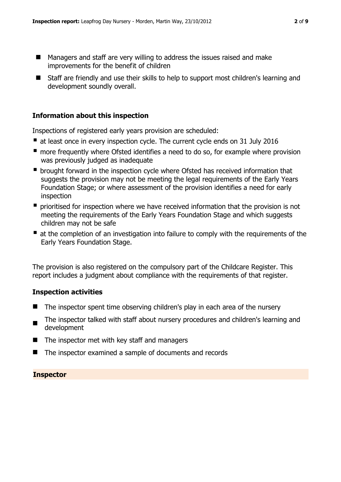- Managers and staff are very willing to address the issues raised and make improvements for the benefit of children
- Staff are friendly and use their skills to help to support most children's learning and development soundly overall.

### **Information about this inspection**

Inspections of registered early years provision are scheduled:

- at least once in every inspection cycle. The current cycle ends on 31 July 2016
- **n** more frequently where Ofsted identifies a need to do so, for example where provision was previously judged as inadequate
- **•** brought forward in the inspection cycle where Ofsted has received information that suggests the provision may not be meeting the legal requirements of the Early Years Foundation Stage; or where assessment of the provision identifies a need for early inspection
- **P** prioritised for inspection where we have received information that the provision is not meeting the requirements of the Early Years Foundation Stage and which suggests children may not be safe
- at the completion of an investigation into failure to comply with the requirements of the Early Years Foundation Stage.

The provision is also registered on the compulsory part of the Childcare Register. This report includes a judgment about compliance with the requirements of that register.

# **Inspection activities**

- The inspector spent time observing children's play in each area of the nursery
- The inspector talked with staff about nursery procedures and children's learning and development
- $\blacksquare$  The inspector met with key staff and managers
- The inspector examined a sample of documents and records

#### **Inspector**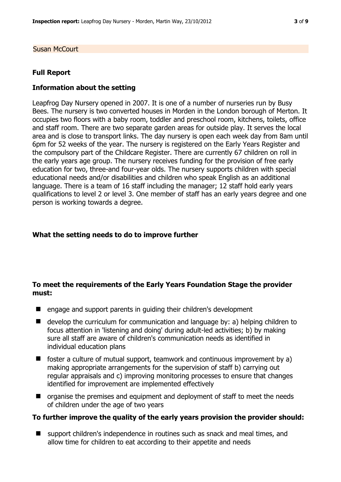Susan McCourt

#### **Full Report**

#### **Information about the setting**

Leapfrog Day Nursery opened in 2007. It is one of a number of nurseries run by Busy Bees. The nursery is two converted houses in Morden in the London borough of Merton. It occupies two floors with a baby room, toddler and preschool room, kitchens, toilets, office and staff room. There are two separate garden areas for outside play. It serves the local area and is close to transport links. The day nursery is open each week day from 8am until 6pm for 52 weeks of the year. The nursery is registered on the Early Years Register and the compulsory part of the Childcare Register. There are currently 67 children on roll in the early years age group. The nursery receives funding for the provision of free early education for two, three-and four-year olds. The nursery supports children with special educational needs and/or disabilities and children who speak English as an additional language. There is a team of 16 staff including the manager; 12 staff hold early years qualifications to level 2 or level 3. One member of staff has an early years degree and one person is working towards a degree.

#### **What the setting needs to do to improve further**

# **To meet the requirements of the Early Years Foundation Stage the provider must:**

- engage and support parents in guiding their children's development
- develop the curriculum for communication and language by: a) helping children to focus attention in 'listening and doing' during adult-led activities; b) by making sure all staff are aware of children's communication needs as identified in individual education plans
- $\blacksquare$  foster a culture of mutual support, teamwork and continuous improvement by a) making appropriate arrangements for the supervision of staff b) carrying out regular appraisals and c) improving monitoring processes to ensure that changes identified for improvement are implemented effectively
- $\blacksquare$  organise the premises and equipment and deployment of staff to meet the needs of children under the age of two years

#### **To further improve the quality of the early years provision the provider should:**

 support children's independence in routines such as snack and meal times, and allow time for children to eat according to their appetite and needs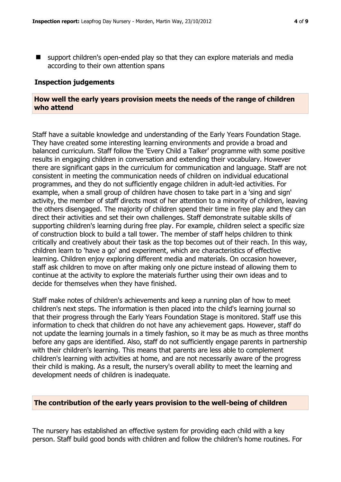support children's open-ended play so that they can explore materials and media according to their own attention spans

# **Inspection judgements**

# **How well the early years provision meets the needs of the range of children who attend**

Staff have a suitable knowledge and understanding of the Early Years Foundation Stage. They have created some interesting learning environments and provide a broad and balanced curriculum. Staff follow the 'Every Child a Talker' programme with some positive results in engaging children in conversation and extending their vocabulary. However there are significant gaps in the curriculum for communication and language. Staff are not consistent in meeting the communication needs of children on individual educational programmes, and they do not sufficiently engage children in adult-led activities. For example, when a small group of children have chosen to take part in a 'sing and sign' activity, the member of staff directs most of her attention to a minority of children, leaving the others disengaged. The majority of children spend their time in free play and they can direct their activities and set their own challenges. Staff demonstrate suitable skills of supporting children's learning during free play. For example, children select a specific size of construction block to build a tall tower. The member of staff helps children to think critically and creatively about their task as the top becomes out of their reach. In this way, children learn to 'have a go' and experiment, which are characteristics of effective learning. Children enjoy exploring different media and materials. On occasion however, staff ask children to move on after making only one picture instead of allowing them to continue at the activity to explore the materials further using their own ideas and to decide for themselves when they have finished.

Staff make notes of children's achievements and keep a running plan of how to meet children's next steps. The information is then placed into the child's learning journal so that their progress through the Early Years Foundation Stage is monitored. Staff use this information to check that children do not have any achievement gaps. However, staff do not update the learning journals in a timely fashion, so it may be as much as three months before any gaps are identified. Also, staff do not sufficiently engage parents in partnership with their children's learning. This means that parents are less able to complement children's learning with activities at home, and are not necessarily aware of the progress their child is making. As a result, the nursery's overall ability to meet the learning and development needs of children is inadequate.

# **The contribution of the early years provision to the well-being of children**

The nursery has established an effective system for providing each child with a key person. Staff build good bonds with children and follow the children's home routines. For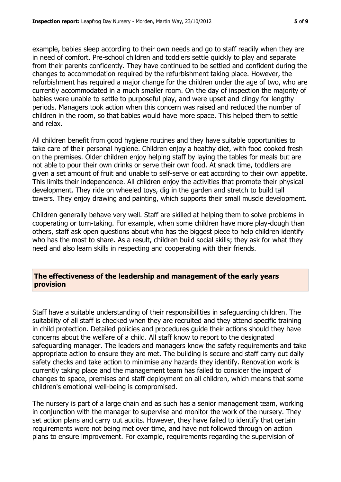example, babies sleep according to their own needs and go to staff readily when they are in need of comfort. Pre-school children and toddlers settle quickly to play and separate from their parents confidently. They have continued to be settled and confident during the changes to accommodation required by the refurbishment taking place. However, the refurbishment has required a major change for the children under the age of two, who are currently accommodated in a much smaller room. On the day of inspection the majority of babies were unable to settle to purposeful play, and were upset and clingy for lengthy periods. Managers took action when this concern was raised and reduced the number of children in the room, so that babies would have more space. This helped them to settle and relax.

All children benefit from good hygiene routines and they have suitable opportunities to take care of their personal hygiene. Children enjoy a healthy diet, with food cooked fresh on the premises. Older children enjoy helping staff by laying the tables for meals but are not able to pour their own drinks or serve their own food. At snack time, toddlers are given a set amount of fruit and unable to self-serve or eat according to their own appetite. This limits their independence. All children enjoy the activities that promote their physical development. They ride on wheeled toys, dig in the garden and stretch to build tall towers. They enjoy drawing and painting, which supports their small muscle development.

Children generally behave very well. Staff are skilled at helping them to solve problems in cooperating or turn-taking. For example, when some children have more play-dough than others, staff ask open questions about who has the biggest piece to help children identify who has the most to share. As a result, children build social skills; they ask for what they need and also learn skills in respecting and cooperating with their friends.

# **The effectiveness of the leadership and management of the early years provision**

Staff have a suitable understanding of their responsibilities in safeguarding children. The suitability of all staff is checked when they are recruited and they attend specific training in child protection. Detailed policies and procedures guide their actions should they have concerns about the welfare of a child. All staff know to report to the designated safeguarding manager. The leaders and managers know the safety requirements and take appropriate action to ensure they are met. The building is secure and staff carry out daily safety checks and take action to minimise any hazards they identify. Renovation work is currently taking place and the management team has failed to consider the impact of changes to space, premises and staff deployment on all children, which means that some children's emotional well-being is compromised.

The nursery is part of a large chain and as such has a senior management team, working in conjunction with the manager to supervise and monitor the work of the nursery. They set action plans and carry out audits. However, they have failed to identify that certain requirements were not being met over time, and have not followed through on action plans to ensure improvement. For example, requirements regarding the supervision of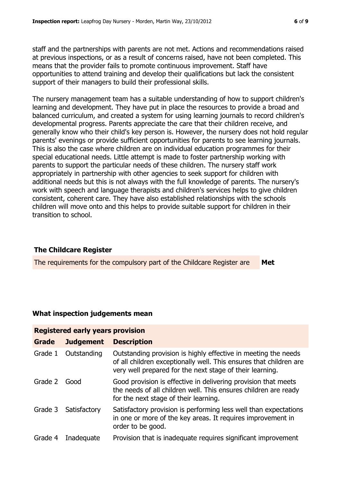staff and the partnerships with parents are not met. Actions and recommendations raised at previous inspections, or as a result of concerns raised, have not been completed. This means that the provider fails to promote continuous improvement. Staff have opportunities to attend training and develop their qualifications but lack the consistent support of their managers to build their professional skills.

The nursery management team has a suitable understanding of how to support children's learning and development. They have put in place the resources to provide a broad and balanced curriculum, and created a system for using learning journals to record children's developmental progress. Parents appreciate the care that their children receive, and generally know who their child's key person is. However, the nursery does not hold regular parents' evenings or provide sufficient opportunities for parents to see learning journals. This is also the case where children are on individual education programmes for their special educational needs. Little attempt is made to foster partnership working with parents to support the particular needs of these children. The nursery staff work appropriately in partnership with other agencies to seek support for children with additional needs but this is not always with the full knowledge of parents. The nursery's work with speech and language therapists and children's services helps to give children consistent, coherent care. They have also established relationships with the schools children will move onto and this helps to provide suitable support for children in their transition to school.

# **The Childcare Register**

The requirements for the compulsory part of the Childcare Register are **Met**

# **What inspection judgements mean**

| <b>Registered early years provision</b> |                  |                                                                                                                                                                                                  |  |  |
|-----------------------------------------|------------------|--------------------------------------------------------------------------------------------------------------------------------------------------------------------------------------------------|--|--|
| <b>Grade</b>                            | <b>Judgement</b> | <b>Description</b>                                                                                                                                                                               |  |  |
| Grade 1                                 | Outstanding      | Outstanding provision is highly effective in meeting the needs<br>of all children exceptionally well. This ensures that children are<br>very well prepared for the next stage of their learning. |  |  |
| Grade 2 Good                            |                  | Good provision is effective in delivering provision that meets<br>the needs of all children well. This ensures children are ready<br>for the next stage of their learning.                       |  |  |
| Grade 3                                 | Satisfactory     | Satisfactory provision is performing less well than expectations<br>in one or more of the key areas. It requires improvement in<br>order to be good.                                             |  |  |
| Grade 4                                 | Inadequate       | Provision that is inadequate requires significant improvement                                                                                                                                    |  |  |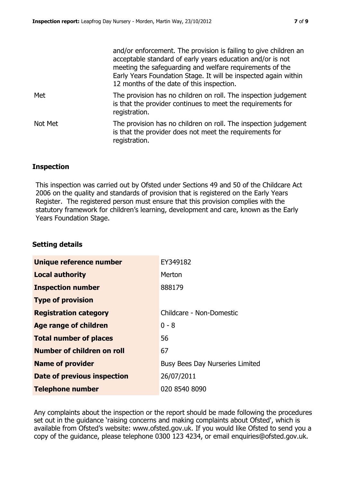|         | and/or enforcement. The provision is failing to give children an<br>acceptable standard of early years education and/or is not<br>meeting the safeguarding and welfare requirements of the<br>Early Years Foundation Stage. It will be inspected again within<br>12 months of the date of this inspection. |
|---------|------------------------------------------------------------------------------------------------------------------------------------------------------------------------------------------------------------------------------------------------------------------------------------------------------------|
| Met     | The provision has no children on roll. The inspection judgement<br>is that the provider continues to meet the requirements for<br>registration.                                                                                                                                                            |
| Not Met | The provision has no children on roll. The inspection judgement<br>is that the provider does not meet the requirements for<br>registration.                                                                                                                                                                |

# **Inspection**

This inspection was carried out by Ofsted under Sections 49 and 50 of the Childcare Act 2006 on the quality and standards of provision that is registered on the Early Years Register. The registered person must ensure that this provision complies with the statutory framework for children's learning, development and care, known as the Early Years Foundation Stage.

#### **Setting details**

| <b>Unique reference number</b> | EY349182                               |
|--------------------------------|----------------------------------------|
| <b>Local authority</b>         | Merton                                 |
| <b>Inspection number</b>       | 888179                                 |
| <b>Type of provision</b>       |                                        |
| <b>Registration category</b>   | Childcare - Non-Domestic               |
| <b>Age range of children</b>   | $0 - 8$                                |
| <b>Total number of places</b>  | 56                                     |
| Number of children on roll     | 67                                     |
| <b>Name of provider</b>        | <b>Busy Bees Day Nurseries Limited</b> |
| Date of previous inspection    | 26/07/2011                             |
| <b>Telephone number</b>        | 020 8540 8090                          |

Any complaints about the inspection or the report should be made following the procedures set out in the guidance 'raising concerns and making complaints about Ofsted', which is available from Ofsted's website: www.ofsted.gov.uk. If you would like Ofsted to send you a copy of the guidance, please telephone 0300 123 4234, or email enquiries@ofsted.gov.uk.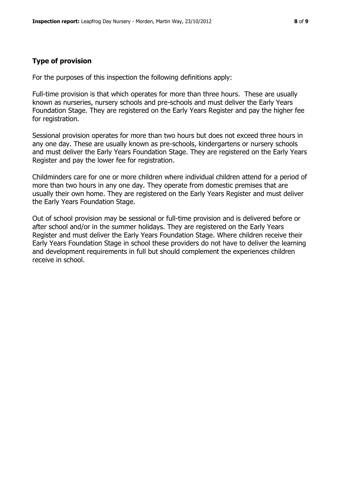# **Type of provision**

For the purposes of this inspection the following definitions apply:

Full-time provision is that which operates for more than three hours. These are usually known as nurseries, nursery schools and pre-schools and must deliver the Early Years Foundation Stage. They are registered on the Early Years Register and pay the higher fee for registration.

Sessional provision operates for more than two hours but does not exceed three hours in any one day. These are usually known as pre-schools, kindergartens or nursery schools and must deliver the Early Years Foundation Stage. They are registered on the Early Years Register and pay the lower fee for registration.

Childminders care for one or more children where individual children attend for a period of more than two hours in any one day. They operate from domestic premises that are usually their own home. They are registered on the Early Years Register and must deliver the Early Years Foundation Stage.

Out of school provision may be sessional or full-time provision and is delivered before or after school and/or in the summer holidays. They are registered on the Early Years Register and must deliver the Early Years Foundation Stage. Where children receive their Early Years Foundation Stage in school these providers do not have to deliver the learning and development requirements in full but should complement the experiences children receive in school.